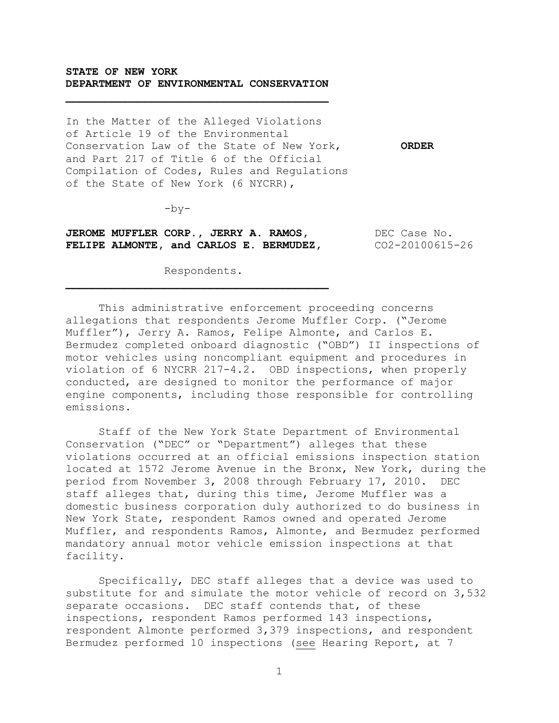## **STATE OF NEW YORK DEPARTMENT OF ENVIRONMENTAL CONSERVATION**

In the Matter of the Alleged Violations of Article 19 of the Environmental Conservation Law of the State of New York, **ORDER** and Part 217 of Title 6 of the Official Compilation of Codes, Rules and Regulations of the State of New York (6 NYCRR),

 $-by-$ 

**JEROME MUFFLER CORP., JERRY A. RAMOS, SECULAR DEC Case No. FELIPE ALMONTE, and CARLOS E. BERMUDEZ, CO2-20100615-26** 

Respondents.

This administrative enforcement proceeding concerns allegations that respondents Jerome Muffler Corp. ("Jerome Muffler"), Jerry A. Ramos, Felipe Almonte, and Carlos E. Bermudez completed onboard diagnostic ("OBD") II inspections of motor vehicles using noncompliant equipment and procedures in violation of 6 NYCRR 217-4.2. OBD inspections, when properly conducted, are designed to monitor the performance of major engine components, including those responsible for controlling emissions.

Staff of the New York State Department of Environmental Conservation ("DEC" or "Department") alleges that these violations occurred at an official emissions inspection station located at 1572 Jerome Avenue in the Bronx, New York, during the period from November 3, 2008 through February 17, 2010. DEC staff alleges that, during this time, Jerome Muffler was a domestic business corporation duly authorized to do business in New York State, respondent Ramos owned and operated Jerome Muffler, and respondents Ramos, Almonte, and Bermudez performed mandatory annual motor vehicle emission inspections at that facility.

Specifically, DEC staff alleges that a device was used to substitute for and simulate the motor vehicle of record on 3,532 separate occasions. DEC staff contends that, of these inspections, respondent Ramos performed 143 inspections, respondent Almonte performed 3,379 inspections, and respondent Bermudez performed 10 inspections (see Hearing Report, at 7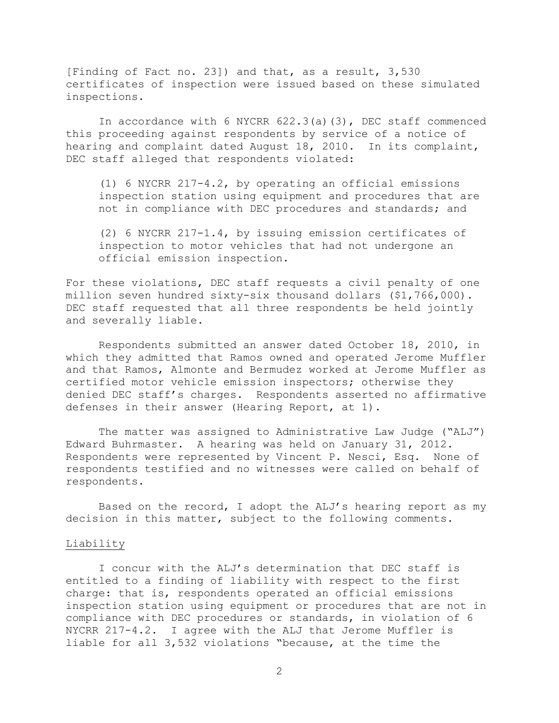[Finding of Fact no. 23]) and that, as a result, 3,530 certificates of inspection were issued based on these simulated inspections.

In accordance with 6 NYCRR 622.3(a)(3), DEC staff commenced this proceeding against respondents by service of a notice of hearing and complaint dated August 18, 2010. In its complaint, DEC staff alleged that respondents violated:

(1) 6 NYCRR 217-4.2, by operating an official emissions inspection station using equipment and procedures that are not in compliance with DEC procedures and standards; and

(2) 6 NYCRR 217-1.4, by issuing emission certificates of inspection to motor vehicles that had not undergone an official emission inspection.

For these violations, DEC staff requests a civil penalty of one million seven hundred sixty-six thousand dollars (\$1,766,000). DEC staff requested that all three respondents be held jointly and severally liable.

Respondents submitted an answer dated October 18, 2010, in which they admitted that Ramos owned and operated Jerome Muffler and that Ramos, Almonte and Bermudez worked at Jerome Muffler as certified motor vehicle emission inspectors; otherwise they denied DEC staff"s charges. Respondents asserted no affirmative defenses in their answer (Hearing Report, at 1).

The matter was assigned to Administrative Law Judge ("ALJ") Edward Buhrmaster. A hearing was held on January 31, 2012. Respondents were represented by Vincent P. Nesci, Esq. None of respondents testified and no witnesses were called on behalf of respondents.

Based on the record, I adopt the ALJ"s hearing report as my decision in this matter, subject to the following comments.

#### *<sup>U</sup>*Liability

I concur with the ALJ"s determination that DEC staff is entitled to a finding of liability with respect to the first charge: that is, respondents operated an official emissions inspection station using equipment or procedures that are not in compliance with DEC procedures or standards, in violation of 6 NYCRR 217-4.2. I agree with the ALJ that Jerome Muffler is liable for all 3,532 violations "because, at the time the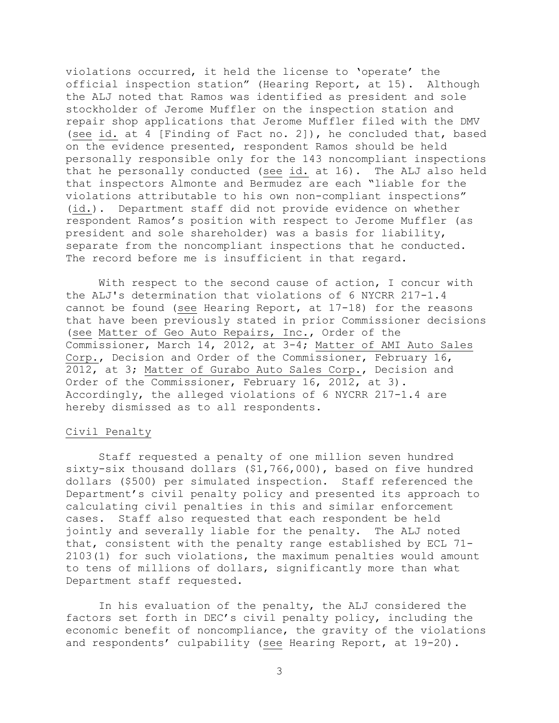violations occurred, it held the license to "operate" the official inspection station" (Hearing Report, at 15). Although the ALJ noted that Ramos was identified as president and sole stockholder of Jerome Muffler on the inspection station and repair shop applications that Jerome Muffler filed with the DMV (see id. at 4 [Finding of Fact no. 2]), he concluded that, based on the evidence presented, respondent Ramos should be held personally responsible only for the 143 noncompliant inspections that he personally conducted (see id. at 16). The ALJ also held that inspectors Almonte and Bermudez are each "liable for the violations attributable to his own non-compliant inspections" (id.). Department staff did not provide evidence on whether respondent Ramos"s position with respect to Jerome Muffler (as president and sole shareholder) was a basis for liability, separate from the noncompliant inspections that he conducted. The record before me is insufficient in that regard.

With respect to the second cause of action, I concur with the ALJ's determination that violations of 6 NYCRR 217-1.4 cannot be found (see Hearing Report, at 17-18) for the reasons that have been previously stated in prior Commissioner decisions (see Matter of Geo Auto Repairs, Inc., Order of the Commissioner, March 14, 2012, at 3-4; Matter of AMI Auto Sales Corp., Decision and Order of the Commissioner, February 16, 2012, at 3; Matter of Gurabo Auto Sales Corp., Decision and Order of the Commissioner, February 16, 2012, at 3). Accordingly, the alleged violations of 6 NYCRR 217-1.4 are hereby dismissed as to all respondents.

## Civil Penalty

Staff requested a penalty of one million seven hundred sixty-six thousand dollars (\$1,766,000), based on five hundred dollars (\$500) per simulated inspection. Staff referenced the Department's civil penalty policy and presented its approach to calculating civil penalties in this and similar enforcement cases. Staff also requested that each respondent be held jointly and severally liable for the penalty. The ALJ noted that, consistent with the penalty range established by ECL 71- 2103(1) for such violations, the maximum penalties would amount to tens of millions of dollars, significantly more than what Department staff requested.

In his evaluation of the penalty, the ALJ considered the factors set forth in DEC"s civil penalty policy, including the economic benefit of noncompliance, the gravity of the violations and respondents' culpability (see Hearing Report, at 19-20).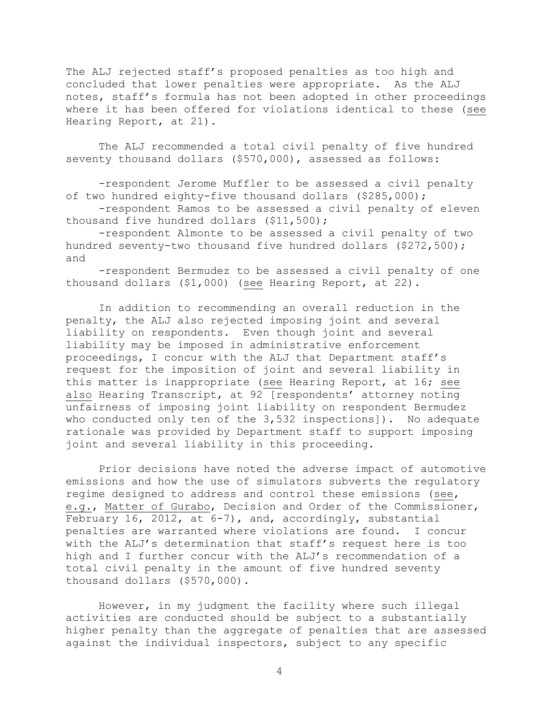The ALJ rejected staff"s proposed penalties as too high and concluded that lower penalties were appropriate. As the ALJ notes, staff"s formula has not been adopted in other proceedings where it has been offered for violations identical to these (see Hearing Report, at 21).

The ALJ recommended a total civil penalty of five hundred seventy thousand dollars (\$570,000), assessed as follows:

-respondent Jerome Muffler to be assessed a civil penalty of two hundred eighty-five thousand dollars (\$285,000);

-respondent Ramos to be assessed a civil penalty of eleven thousand five hundred dollars (\$11,500);

-respondent Almonte to be assessed a civil penalty of two hundred seventy-two thousand five hundred dollars (\$272,500); and

-respondent Bermudez to be assessed a civil penalty of one thousand dollars (\$1,000) (see Hearing Report, at 22).

In addition to recommending an overall reduction in the penalty, the ALJ also rejected imposing joint and several liability on respondents. Even though joint and several liability may be imposed in administrative enforcement proceedings, I concur with the ALJ that Department staff"s request for the imposition of joint and several liability in this matter is inappropriate (see Hearing Report, at 16; see also Hearing Transcript, at 92 [respondents' attorney noting unfairness of imposing joint liability on respondent Bermudez who conducted only ten of the 3,532 inspections]). No adequate rationale was provided by Department staff to support imposing joint and several liability in this proceeding.

Prior decisions have noted the adverse impact of automotive emissions and how the use of simulators subverts the regulatory regime designed to address and control these emissions (see, e.g., Matter of Gurabo, Decision and Order of the Commissioner, February 16, 2012, at 6-7), and, accordingly, substantial penalties are warranted where violations are found. I concur with the ALJ"s determination that staff"s request here is too high and I further concur with the ALJ"s recommendation of a total civil penalty in the amount of five hundred seventy thousand dollars (\$570,000).

However, in my judgment the facility where such illegal activities are conducted should be subject to a substantially higher penalty than the aggregate of penalties that are assessed against the individual inspectors, subject to any specific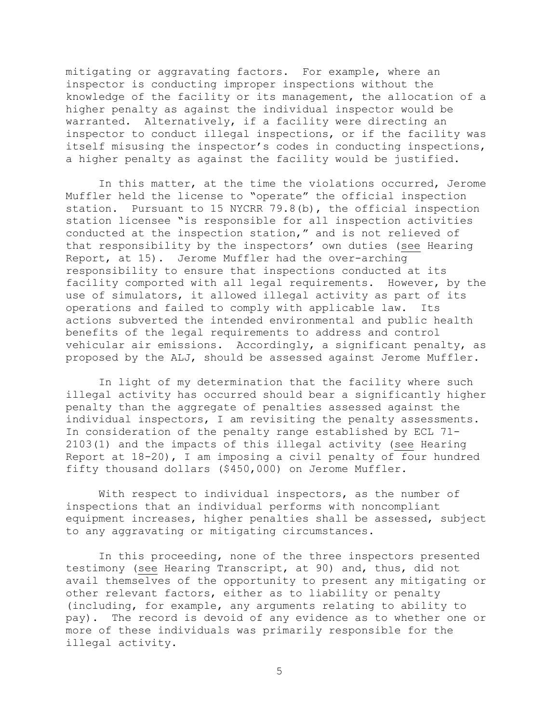mitigating or aggravating factors. For example, where an inspector is conducting improper inspections without the knowledge of the facility or its management, the allocation of a higher penalty as against the individual inspector would be warranted. Alternatively, if a facility were directing an inspector to conduct illegal inspections, or if the facility was itself misusing the inspector's codes in conducting inspections, a higher penalty as against the facility would be justified.

In this matter, at the time the violations occurred, Jerome Muffler held the license to "operate" the official inspection station. Pursuant to 15 NYCRR 79.8(b), the official inspection station licensee "is responsible for all inspection activities conducted at the inspection station," and is not relieved of that responsibility by the inspectors' own duties (see Hearing Report, at 15). Jerome Muffler had the over-arching responsibility to ensure that inspections conducted at its facility comported with all legal requirements. However, by the use of simulators, it allowed illegal activity as part of its operations and failed to comply with applicable law. Its actions subverted the intended environmental and public health benefits of the legal requirements to address and control vehicular air emissions. Accordingly, a significant penalty, as proposed by the ALJ, should be assessed against Jerome Muffler.

In light of my determination that the facility where such illegal activity has occurred should bear a significantly higher penalty than the aggregate of penalties assessed against the individual inspectors, I am revisiting the penalty assessments. In consideration of the penalty range established by ECL 71- 2103(1) and the impacts of this illegal activity (see Hearing Report at 18-20), I am imposing a civil penalty of four hundred fifty thousand dollars (\$450,000) on Jerome Muffler.

With respect to individual inspectors, as the number of inspections that an individual performs with noncompliant equipment increases, higher penalties shall be assessed, subject to any aggravating or mitigating circumstances.

In this proceeding, none of the three inspectors presented testimony (see Hearing Transcript, at 90) and, thus, did not avail themselves of the opportunity to present any mitigating or other relevant factors, either as to liability or penalty (including, for example, any arguments relating to ability to pay). The record is devoid of any evidence as to whether one or more of these individuals was primarily responsible for the illegal activity.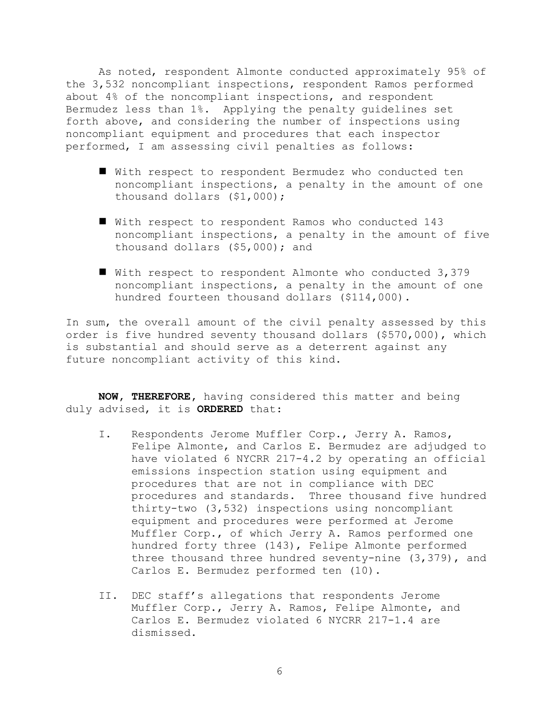As noted, respondent Almonte conducted approximately 95% of the 3,532 noncompliant inspections, respondent Ramos performed about 4% of the noncompliant inspections, and respondent Bermudez less than 1%. Applying the penalty guidelines set forth above, and considering the number of inspections using noncompliant equipment and procedures that each inspector performed, I am assessing civil penalties as follows:

- With respect to respondent Bermudez who conducted ten noncompliant inspections, a penalty in the amount of one thousand dollars (\$1,000);
- With respect to respondent Ramos who conducted 143 noncompliant inspections, a penalty in the amount of five thousand dollars (\$5,000); and
- With respect to respondent Almonte who conducted 3,379 noncompliant inspections, a penalty in the amount of one hundred fourteen thousand dollars (\$114,000).

In sum, the overall amount of the civil penalty assessed by this order is five hundred seventy thousand dollars (\$570,000), which is substantial and should serve as a deterrent against any future noncompliant activity of this kind.

**NOW, THEREFORE,** having considered this matter and being duly advised, it is **ORDERED** that:

- I. Respondents Jerome Muffler Corp., Jerry A. Ramos, Felipe Almonte, and Carlos E. Bermudez are adjudged to have violated 6 NYCRR 217-4.2 by operating an official emissions inspection station using equipment and procedures that are not in compliance with DEC procedures and standards. Three thousand five hundred thirty-two (3,532) inspections using noncompliant equipment and procedures were performed at Jerome Muffler Corp., of which Jerry A. Ramos performed one hundred forty three (143), Felipe Almonte performed three thousand three hundred seventy-nine (3,379), and Carlos E. Bermudez performed ten (10).
- II. DEC staff"s allegations that respondents Jerome Muffler Corp., Jerry A. Ramos, Felipe Almonte, and Carlos E. Bermudez violated 6 NYCRR 217-1.4 are dismissed.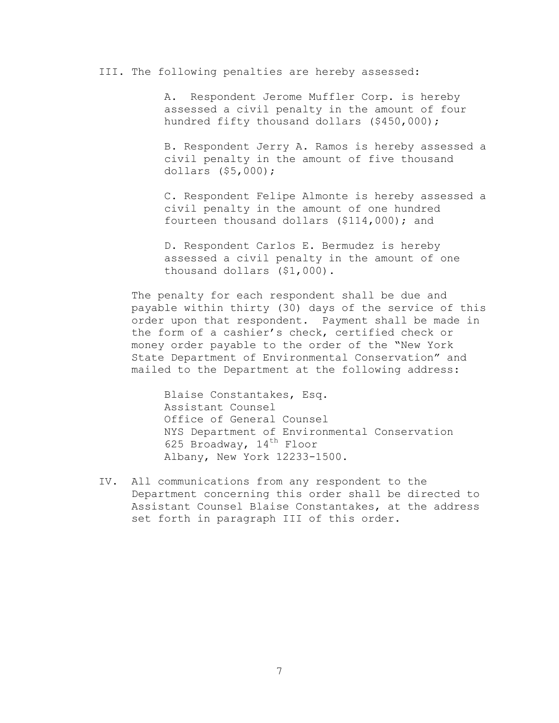#### III. The following penalties are hereby assessed:

A. Respondent Jerome Muffler Corp. is hereby assessed a civil penalty in the amount of four hundred fifty thousand dollars (\$450,000);

B. Respondent Jerry A. Ramos is hereby assessed a civil penalty in the amount of five thousand dollars (\$5,000);

C. Respondent Felipe Almonte is hereby assessed a civil penalty in the amount of one hundred fourteen thousand dollars (\$114,000); and

D. Respondent Carlos E. Bermudez is hereby assessed a civil penalty in the amount of one thousand dollars (\$1,000).

The penalty for each respondent shall be due and payable within thirty (30) days of the service of this order upon that respondent. Payment shall be made in the form of a cashier"s check, certified check or money order payable to the order of the "New York State Department of Environmental Conservation" and mailed to the Department at the following address:

Blaise Constantakes, Esq. Assistant Counsel Office of General Counsel NYS Department of Environmental Conservation 625 Broadway,  $14<sup>th</sup>$  Floor Albany, New York 12233-1500.

IV. All communications from any respondent to the Department concerning this order shall be directed to Assistant Counsel Blaise Constantakes, at the address set forth in paragraph III of this order.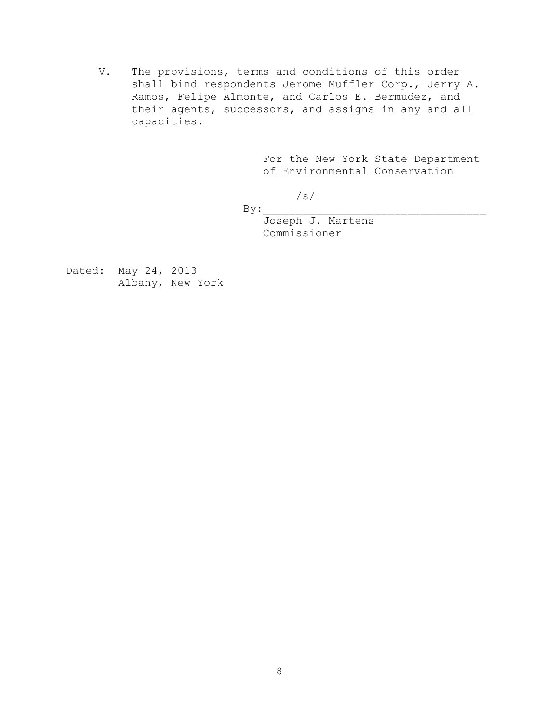V. The provisions, terms and conditions of this order shall bind respondents Jerome Muffler Corp., Jerry A. Ramos, Felipe Almonte, and Carlos E. Bermudez, and their agents, successors, and assigns in any and all capacities.

> For the New York State Department of Environmental Conservation

/s/  $By:$ 

> Joseph J. Martens Commissioner

Dated: May 24, 2013 Albany, New York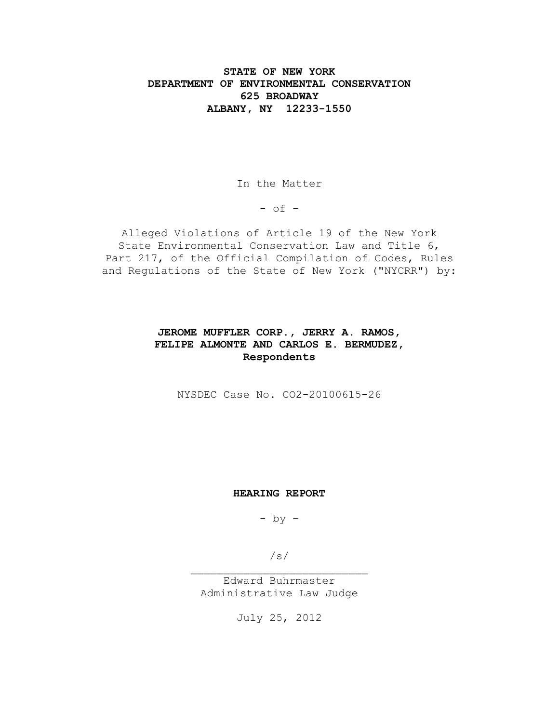# **STATE OF NEW YORK DEPARTMENT OF ENVIRONMENTAL CONSERVATION 625 BROADWAY ALBANY, NY 12233-1550**

In the Matter

 $-$  of  $-$ 

Alleged Violations of Article 19 of the New York State Environmental Conservation Law and Title 6, Part 217, of the Official Compilation of Codes, Rules and Regulations of the State of New York ("NYCRR") by:

# **JEROME MUFFLER CORP., JERRY A. RAMOS, FELIPE ALMONTE AND CARLOS E. BERMUDEZ, Respondents**

NYSDEC Case No. CO2-20100615-26

#### **HEARING REPORT**

 $-$  by  $-$ 

/s/

Edward Buhrmaster Administrative Law Judge

July 25, 2012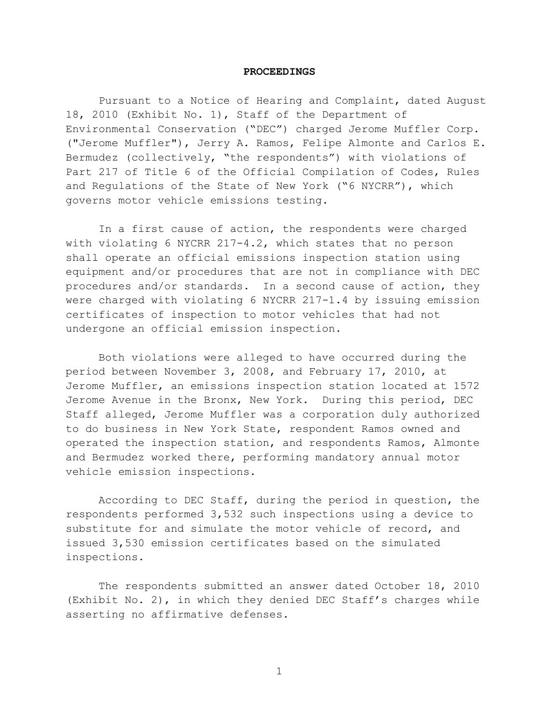#### **PROCEEDINGS**

Pursuant to a Notice of Hearing and Complaint, dated August 18, 2010 (Exhibit No. 1), Staff of the Department of Environmental Conservation ("DEC") charged Jerome Muffler Corp. ("Jerome Muffler"), Jerry A. Ramos, Felipe Almonte and Carlos E. Bermudez (collectively, "the respondents") with violations of Part 217 of Title 6 of the Official Compilation of Codes, Rules and Regulations of the State of New York ("6 NYCRR"), which governs motor vehicle emissions testing.

In a first cause of action, the respondents were charged with violating 6 NYCRR 217-4.2, which states that no person shall operate an official emissions inspection station using equipment and/or procedures that are not in compliance with DEC procedures and/or standards. In a second cause of action, they were charged with violating 6 NYCRR 217-1.4 by issuing emission certificates of inspection to motor vehicles that had not undergone an official emission inspection.

Both violations were alleged to have occurred during the period between November 3, 2008, and February 17, 2010, at Jerome Muffler, an emissions inspection station located at 1572 Jerome Avenue in the Bronx, New York. During this period, DEC Staff alleged, Jerome Muffler was a corporation duly authorized to do business in New York State, respondent Ramos owned and operated the inspection station, and respondents Ramos, Almonte and Bermudez worked there, performing mandatory annual motor vehicle emission inspections.

According to DEC Staff, during the period in question, the respondents performed 3,532 such inspections using a device to substitute for and simulate the motor vehicle of record, and issued 3,530 emission certificates based on the simulated inspections.

The respondents submitted an answer dated October 18, 2010 (Exhibit No. 2), in which they denied DEC Staff's charges while asserting no affirmative defenses.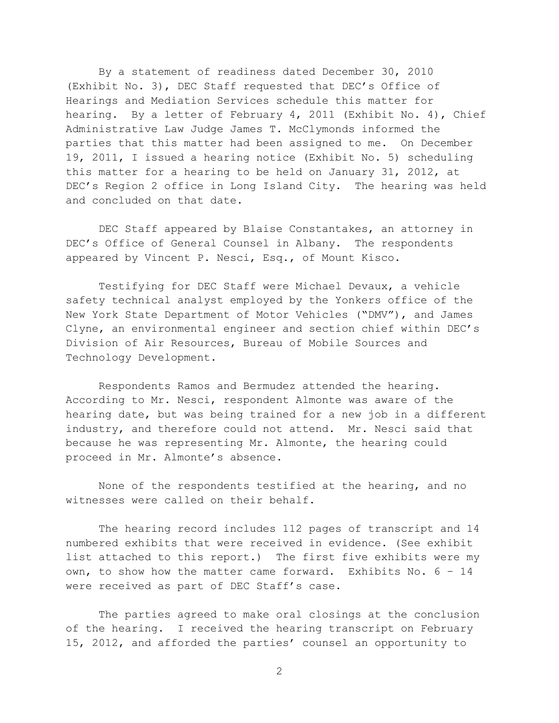By a statement of readiness dated December 30, 2010 (Exhibit No. 3), DEC Staff requested that DEC's Office of Hearings and Mediation Services schedule this matter for hearing. By a letter of February 4, 2011 (Exhibit No. 4), Chief Administrative Law Judge James T. McClymonds informed the parties that this matter had been assigned to me. On December 19, 2011, I issued a hearing notice (Exhibit No. 5) scheduling this matter for a hearing to be held on January 31, 2012, at DEC's Region 2 office in Long Island City. The hearing was held and concluded on that date.

DEC Staff appeared by Blaise Constantakes, an attorney in DEC's Office of General Counsel in Albany. The respondents appeared by Vincent P. Nesci, Esq., of Mount Kisco.

Testifying for DEC Staff were Michael Devaux, a vehicle safety technical analyst employed by the Yonkers office of the New York State Department of Motor Vehicles ("DMV"), and James Clyne, an environmental engineer and section chief within DEC's Division of Air Resources, Bureau of Mobile Sources and Technology Development.

Respondents Ramos and Bermudez attended the hearing. According to Mr. Nesci, respondent Almonte was aware of the hearing date, but was being trained for a new job in a different industry, and therefore could not attend. Mr. Nesci said that because he was representing Mr. Almonte, the hearing could proceed in Mr. Almonte's absence.

None of the respondents testified at the hearing, and no witnesses were called on their behalf.

The hearing record includes 112 pages of transcript and 14 numbered exhibits that were received in evidence. (See exhibit list attached to this report.) The first five exhibits were my own, to show how the matter came forward. Exhibits No. 6 – 14 were received as part of DEC Staff's case.

The parties agreed to make oral closings at the conclusion of the hearing. I received the hearing transcript on February 15, 2012, and afforded the parties' counsel an opportunity to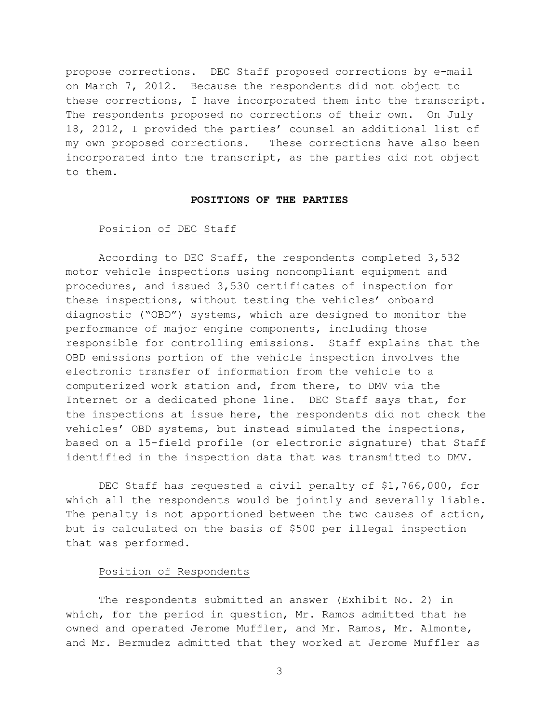propose corrections. DEC Staff proposed corrections by e-mail on March 7, 2012. Because the respondents did not object to these corrections, I have incorporated them into the transcript. The respondents proposed no corrections of their own. On July 18, 2012, I provided the parties' counsel an additional list of my own proposed corrections. These corrections have also been incorporated into the transcript, as the parties did not object to them.

#### **POSITIONS OF THE PARTIES**

## Position of DEC Staff

According to DEC Staff, the respondents completed 3,532 motor vehicle inspections using noncompliant equipment and procedures, and issued 3,530 certificates of inspection for these inspections, without testing the vehicles' onboard diagnostic ("OBD") systems, which are designed to monitor the performance of major engine components, including those responsible for controlling emissions. Staff explains that the OBD emissions portion of the vehicle inspection involves the electronic transfer of information from the vehicle to a computerized work station and, from there, to DMV via the Internet or a dedicated phone line. DEC Staff says that, for the inspections at issue here, the respondents did not check the vehicles' OBD systems, but instead simulated the inspections, based on a 15-field profile (or electronic signature) that Staff identified in the inspection data that was transmitted to DMV.

DEC Staff has requested a civil penalty of \$1,766,000, for which all the respondents would be jointly and severally liable. The penalty is not apportioned between the two causes of action, but is calculated on the basis of \$500 per illegal inspection that was performed.

## Position of Respondents

The respondents submitted an answer (Exhibit No. 2) in which, for the period in question, Mr. Ramos admitted that he owned and operated Jerome Muffler, and Mr. Ramos, Mr. Almonte, and Mr. Bermudez admitted that they worked at Jerome Muffler as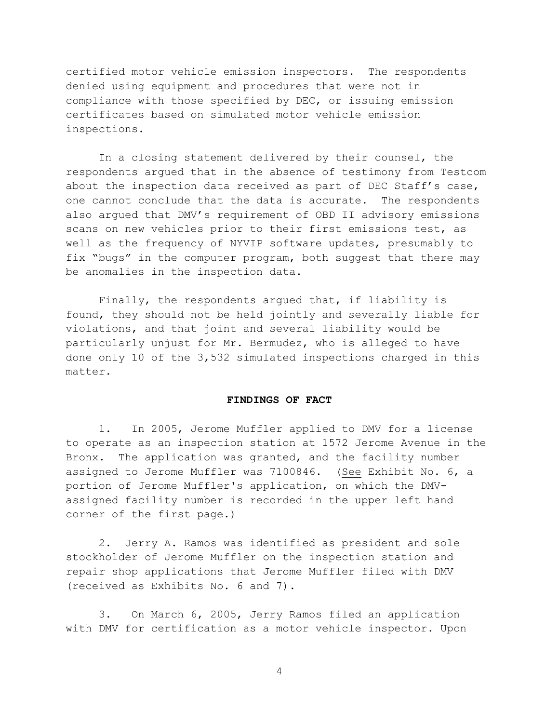certified motor vehicle emission inspectors. The respondents denied using equipment and procedures that were not in compliance with those specified by DEC, or issuing emission certificates based on simulated motor vehicle emission inspections.

In a closing statement delivered by their counsel, the respondents argued that in the absence of testimony from Testcom about the inspection data received as part of DEC Staff's case, one cannot conclude that the data is accurate. The respondents also argued that DMV's requirement of OBD II advisory emissions scans on new vehicles prior to their first emissions test, as well as the frequency of NYVIP software updates, presumably to fix "bugs" in the computer program, both suggest that there may be anomalies in the inspection data.

Finally, the respondents argued that, if liability is found, they should not be held jointly and severally liable for violations, and that joint and several liability would be particularly unjust for Mr. Bermudez, who is alleged to have done only 10 of the 3,532 simulated inspections charged in this matter.

#### **FINDINGS OF FACT**

1. In 2005, Jerome Muffler applied to DMV for a license to operate as an inspection station at 1572 Jerome Avenue in the Bronx. The application was granted, and the facility number assigned to Jerome Muffler was 7100846. (See Exhibit No. 6, a portion of Jerome Muffler's application, on which the DMVassigned facility number is recorded in the upper left hand corner of the first page.)

2. Jerry A. Ramos was identified as president and sole stockholder of Jerome Muffler on the inspection station and repair shop applications that Jerome Muffler filed with DMV (received as Exhibits No. 6 and 7).

3. On March 6, 2005, Jerry Ramos filed an application with DMV for certification as a motor vehicle inspector. Upon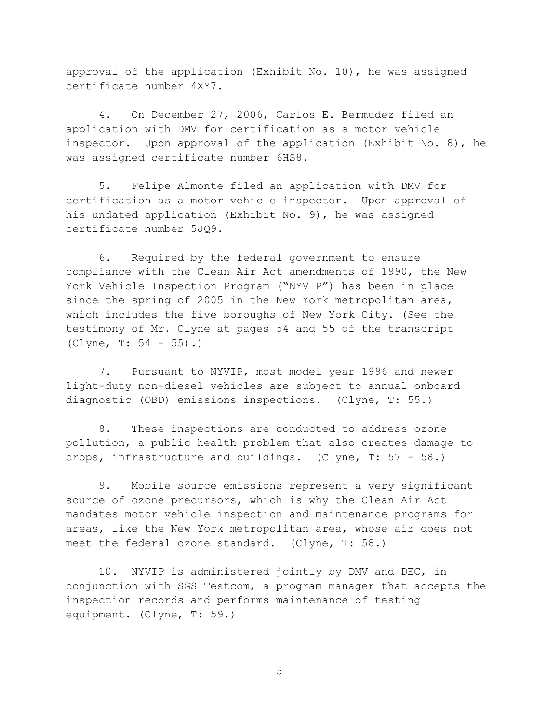approval of the application (Exhibit No. 10), he was assigned certificate number 4XY7.

4. On December 27, 2006, Carlos E. Bermudez filed an application with DMV for certification as a motor vehicle inspector. Upon approval of the application (Exhibit No. 8), he was assigned certificate number 6HS8.

5. Felipe Almonte filed an application with DMV for certification as a motor vehicle inspector. Upon approval of his undated application (Exhibit No. 9), he was assigned certificate number 5JQ9.

6. Required by the federal government to ensure compliance with the Clean Air Act amendments of 1990, the New York Vehicle Inspection Program ("NYVIP") has been in place since the spring of 2005 in the New York metropolitan area, which includes the five boroughs of New York City. (See the testimony of Mr. Clyne at pages 54 and 55 of the transcript (Clyne, T: 54 - 55).)

7. Pursuant to NYVIP, most model year 1996 and newer light-duty non-diesel vehicles are subject to annual onboard diagnostic (OBD) emissions inspections. (Clyne, T: 55.)

8. These inspections are conducted to address ozone pollution, a public health problem that also creates damage to crops, infrastructure and buildings. (Clyne, T: 57 - 58.)

9. Mobile source emissions represent a very significant source of ozone precursors, which is why the Clean Air Act mandates motor vehicle inspection and maintenance programs for areas, like the New York metropolitan area, whose air does not meet the federal ozone standard. (Clyne, T: 58.)

10. NYVIP is administered jointly by DMV and DEC, in conjunction with SGS Testcom, a program manager that accepts the inspection records and performs maintenance of testing equipment. (Clyne, T: 59.)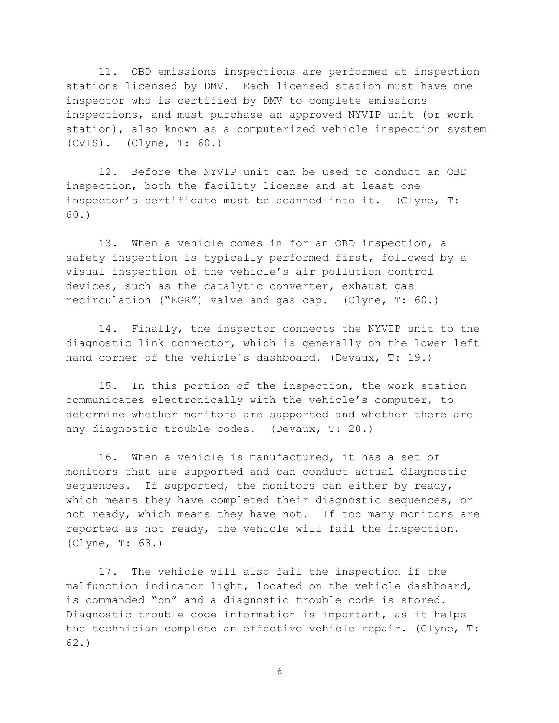11. OBD emissions inspections are performed at inspection stations licensed by DMV. Each licensed station must have one inspector who is certified by DMV to complete emissions inspections, and must purchase an approved NYVIP unit (or work station), also known as a computerized vehicle inspection system (CVIS). (Clyne, T: 60.)

12. Before the NYVIP unit can be used to conduct an OBD inspection, both the facility license and at least one inspector's certificate must be scanned into it. (Clyne, T: 60.)

13. When a vehicle comes in for an OBD inspection, a safety inspection is typically performed first, followed by a visual inspection of the vehicle's air pollution control devices, such as the catalytic converter, exhaust gas recirculation ("EGR") valve and gas cap. (Clyne, T: 60.)

14. Finally, the inspector connects the NYVIP unit to the diagnostic link connector, which is generally on the lower left hand corner of the vehicle's dashboard. (Devaux, T: 19.)

15. In this portion of the inspection, the work station communicates electronically with the vehicle's computer, to determine whether monitors are supported and whether there are any diagnostic trouble codes. (Devaux, T: 20.)

16. When a vehicle is manufactured, it has a set of monitors that are supported and can conduct actual diagnostic sequences. If supported, the monitors can either by ready, which means they have completed their diagnostic sequences, or not ready, which means they have not. If too many monitors are reported as not ready, the vehicle will fail the inspection. (Clyne, T: 63.)

17. The vehicle will also fail the inspection if the malfunction indicator light, located on the vehicle dashboard, is commanded "on" and a diagnostic trouble code is stored. Diagnostic trouble code information is important, as it helps the technician complete an effective vehicle repair. (Clyne, T: 62.)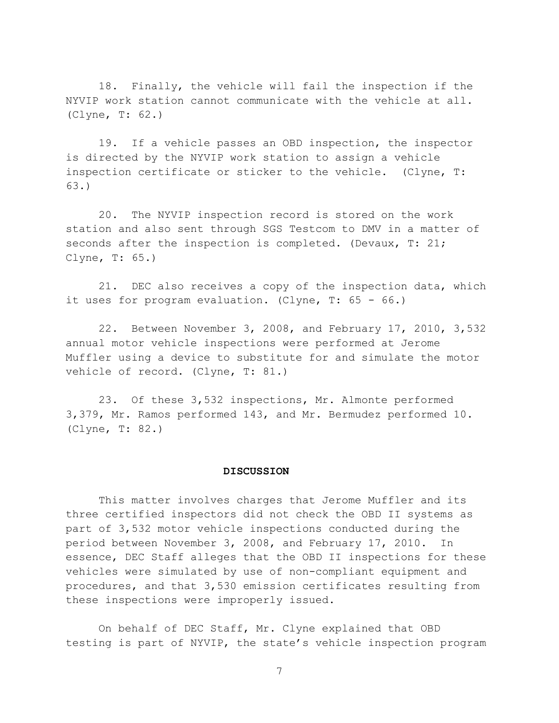18. Finally, the vehicle will fail the inspection if the NYVIP work station cannot communicate with the vehicle at all. (Clyne, T: 62.)

19. If a vehicle passes an OBD inspection, the inspector is directed by the NYVIP work station to assign a vehicle inspection certificate or sticker to the vehicle. (Clyne, T: 63.)

20. The NYVIP inspection record is stored on the work station and also sent through SGS Testcom to DMV in a matter of seconds after the inspection is completed. (Devaux, T: 21; Clyne, T: 65.)

21. DEC also receives a copy of the inspection data, which it uses for program evaluation. (Clyne, T: 65 - 66.)

22. Between November 3, 2008, and February 17, 2010, 3,532 annual motor vehicle inspections were performed at Jerome Muffler using a device to substitute for and simulate the motor vehicle of record. (Clyne, T: 81.)

23. Of these 3,532 inspections, Mr. Almonte performed 3,379, Mr. Ramos performed 143, and Mr. Bermudez performed 10. (Clyne, T: 82.)

#### **DISCUSSION**

This matter involves charges that Jerome Muffler and its three certified inspectors did not check the OBD II systems as part of 3,532 motor vehicle inspections conducted during the period between November 3, 2008, and February 17, 2010. In essence, DEC Staff alleges that the OBD II inspections for these vehicles were simulated by use of non-compliant equipment and procedures, and that 3,530 emission certificates resulting from these inspections were improperly issued.

On behalf of DEC Staff, Mr. Clyne explained that OBD testing is part of NYVIP, the state's vehicle inspection program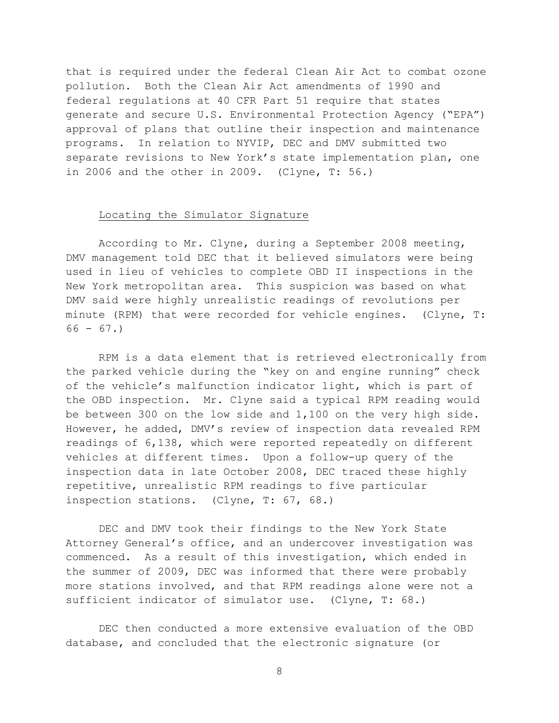that is required under the federal Clean Air Act to combat ozone pollution. Both the Clean Air Act amendments of 1990 and federal regulations at 40 CFR Part 51 require that states generate and secure U.S. Environmental Protection Agency ("EPA") approval of plans that outline their inspection and maintenance programs. In relation to NYVIP, DEC and DMV submitted two separate revisions to New York's state implementation plan, one in 2006 and the other in 2009. (Clyne, T: 56.)

### Locating the Simulator Signature

According to Mr. Clyne, during a September 2008 meeting, DMV management told DEC that it believed simulators were being used in lieu of vehicles to complete OBD II inspections in the New York metropolitan area. This suspicion was based on what DMV said were highly unrealistic readings of revolutions per minute (RPM) that were recorded for vehicle engines. (Clyne, T:  $66 - 67.$ 

RPM is a data element that is retrieved electronically from the parked vehicle during the "key on and engine running" check of the vehicle's malfunction indicator light, which is part of the OBD inspection. Mr. Clyne said a typical RPM reading would be between 300 on the low side and 1,100 on the very high side. However, he added, DMV's review of inspection data revealed RPM readings of 6,138, which were reported repeatedly on different vehicles at different times. Upon a follow-up query of the inspection data in late October 2008, DEC traced these highly repetitive, unrealistic RPM readings to five particular inspection stations. (Clyne, T: 67, 68.)

DEC and DMV took their findings to the New York State Attorney General's office, and an undercover investigation was commenced. As a result of this investigation, which ended in the summer of 2009, DEC was informed that there were probably more stations involved, and that RPM readings alone were not a sufficient indicator of simulator use. (Clyne, T: 68.)

DEC then conducted a more extensive evaluation of the OBD database, and concluded that the electronic signature (or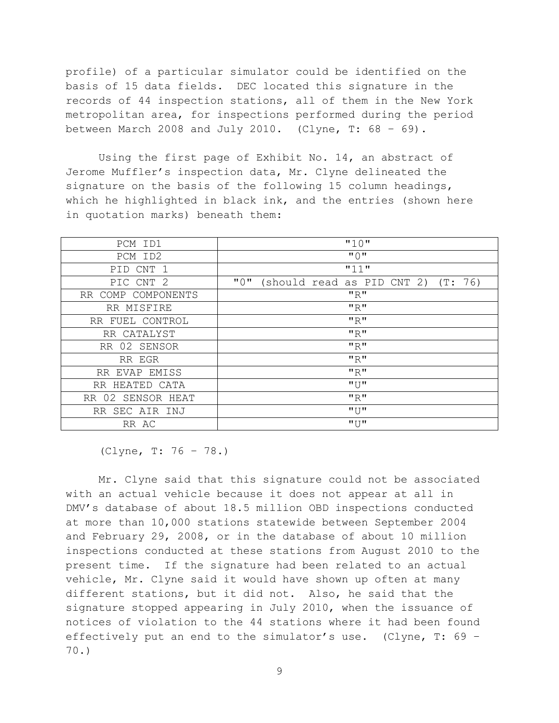profile) of a particular simulator could be identified on the basis of 15 data fields. DEC located this signature in the records of 44 inspection stations, all of them in the New York metropolitan area, for inspections performed during the period between March 2008 and July 2010. (Clyne, T:  $68 - 69$ ).

Using the first page of Exhibit No. 14, an abstract of Jerome Muffler's inspection data, Mr. Clyne delineated the signature on the basis of the following 15 column headings, which he highlighted in black ink, and the entries (shown here in quotation marks) beneath them:

| PCM ID1            | "10"                                         |
|--------------------|----------------------------------------------|
| PCM ID2            | $"$ $\cap"$                                  |
| PID CNT 1          | "11"                                         |
| PIC CNT 2          | "0"<br>(should read as PID CNT 2)<br>(T: 76) |
| RR COMP COMPONENTS | "R"                                          |
| RR MISFIRE         | "R"                                          |
| RR FUEL CONTROL    | "R"                                          |
| RR CATALYST        | "R"                                          |
| RR 02 SENSOR       | "R"                                          |
| RR EGR             | "R"                                          |
| RR EVAP EMISS      | "R"                                          |
| RR HEATED CATA     | "U"                                          |
| RR 02 SENSOR HEAT  | "R"                                          |
| RR SEC AIR INJ     | "U"                                          |
| RR AC              | "                                            |

<sup>(</sup>Clyne, T: 76 – 78.)

Mr. Clyne said that this signature could not be associated with an actual vehicle because it does not appear at all in DMV's database of about 18.5 million OBD inspections conducted at more than 10,000 stations statewide between September 2004 and February 29, 2008, or in the database of about 10 million inspections conducted at these stations from August 2010 to the present time. If the signature had been related to an actual vehicle, Mr. Clyne said it would have shown up often at many different stations, but it did not. Also, he said that the signature stopped appearing in July 2010, when the issuance of notices of violation to the 44 stations where it had been found effectively put an end to the simulator's use. (Clyne, T: 69 – 70.)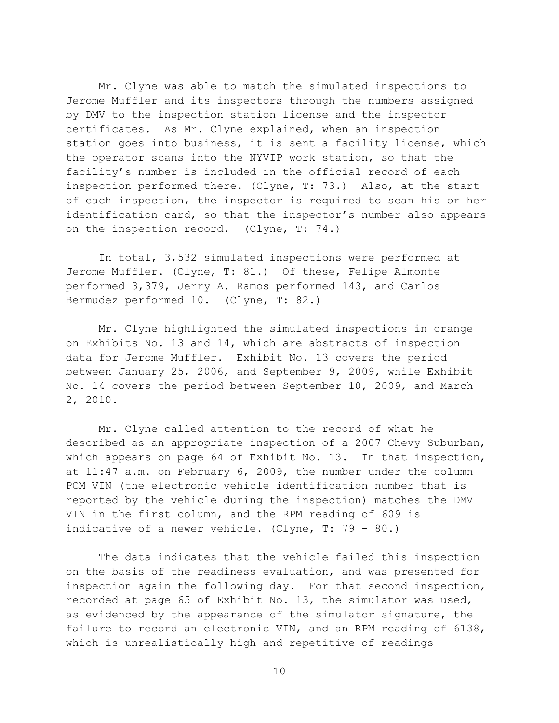Mr. Clyne was able to match the simulated inspections to Jerome Muffler and its inspectors through the numbers assigned by DMV to the inspection station license and the inspector certificates. As Mr. Clyne explained, when an inspection station goes into business, it is sent a facility license, which the operator scans into the NYVIP work station, so that the facility's number is included in the official record of each inspection performed there. (Clyne, T: 73.) Also, at the start of each inspection, the inspector is required to scan his or her identification card, so that the inspector's number also appears on the inspection record. (Clyne, T: 74.)

In total, 3,532 simulated inspections were performed at Jerome Muffler. (Clyne, T: 81.) Of these, Felipe Almonte performed 3,379, Jerry A. Ramos performed 143, and Carlos Bermudez performed 10. (Clyne, T: 82.)

Mr. Clyne highlighted the simulated inspections in orange on Exhibits No. 13 and 14, which are abstracts of inspection data for Jerome Muffler. Exhibit No. 13 covers the period between January 25, 2006, and September 9, 2009, while Exhibit No. 14 covers the period between September 10, 2009, and March 2, 2010.

Mr. Clyne called attention to the record of what he described as an appropriate inspection of a 2007 Chevy Suburban, which appears on page 64 of Exhibit No. 13. In that inspection, at 11:47 a.m. on February 6, 2009, the number under the column PCM VIN (the electronic vehicle identification number that is reported by the vehicle during the inspection) matches the DMV VIN in the first column, and the RPM reading of 609 is indicative of a newer vehicle. (Clyne, T: 79 – 80.)

The data indicates that the vehicle failed this inspection on the basis of the readiness evaluation, and was presented for inspection again the following day. For that second inspection, recorded at page 65 of Exhibit No. 13, the simulator was used, as evidenced by the appearance of the simulator signature, the failure to record an electronic VIN, and an RPM reading of 6138, which is unrealistically high and repetitive of readings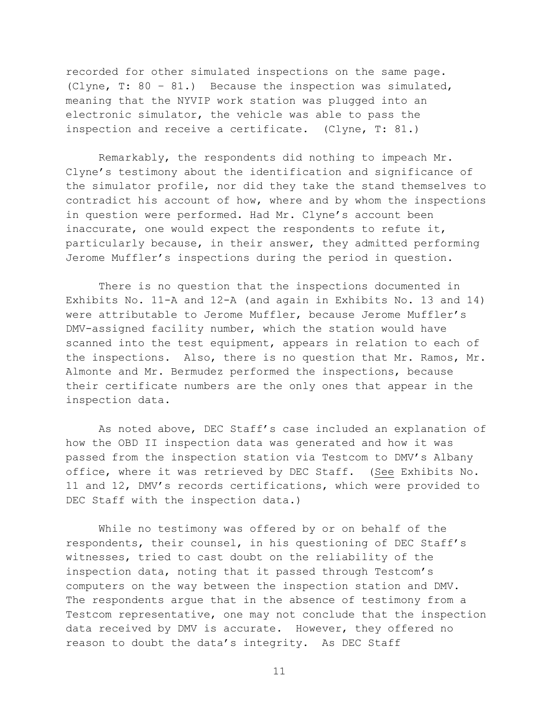recorded for other simulated inspections on the same page. (Clyne, T: 80 – 81.) Because the inspection was simulated, meaning that the NYVIP work station was plugged into an electronic simulator, the vehicle was able to pass the inspection and receive a certificate. (Clyne, T: 81.)

Remarkably, the respondents did nothing to impeach Mr. Clyne's testimony about the identification and significance of the simulator profile, nor did they take the stand themselves to contradict his account of how, where and by whom the inspections in question were performed. Had Mr. Clyne's account been inaccurate, one would expect the respondents to refute it, particularly because, in their answer, they admitted performing Jerome Muffler's inspections during the period in question.

There is no question that the inspections documented in Exhibits No. 11-A and 12-A (and again in Exhibits No. 13 and 14) were attributable to Jerome Muffler, because Jerome Muffler's DMV-assigned facility number, which the station would have scanned into the test equipment, appears in relation to each of the inspections. Also, there is no question that Mr. Ramos, Mr. Almonte and Mr. Bermudez performed the inspections, because their certificate numbers are the only ones that appear in the inspection data.

As noted above, DEC Staff's case included an explanation of how the OBD II inspection data was generated and how it was passed from the inspection station via Testcom to DMV's Albany office, where it was retrieved by DEC Staff. (See Exhibits No. 11 and 12, DMV's records certifications, which were provided to DEC Staff with the inspection data.)

While no testimony was offered by or on behalf of the respondents, their counsel, in his questioning of DEC Staff's witnesses, tried to cast doubt on the reliability of the inspection data, noting that it passed through Testcom's computers on the way between the inspection station and DMV. The respondents argue that in the absence of testimony from a Testcom representative, one may not conclude that the inspection data received by DMV is accurate. However, they offered no reason to doubt the data's integrity. As DEC Staff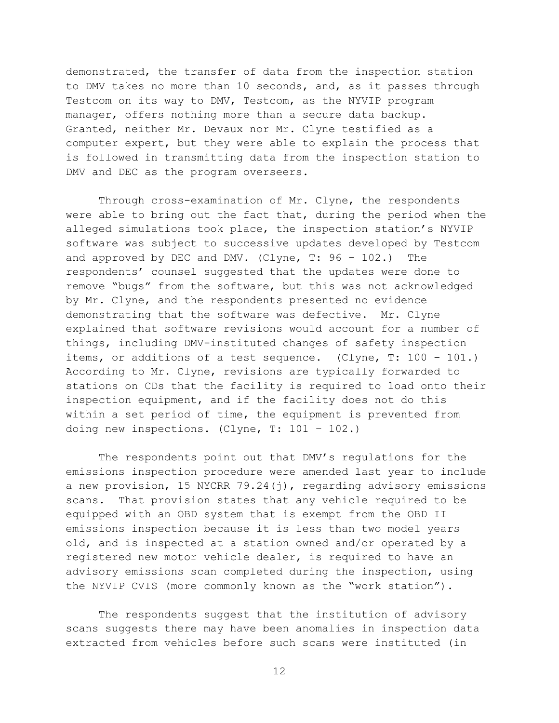demonstrated, the transfer of data from the inspection station to DMV takes no more than 10 seconds, and, as it passes through Testcom on its way to DMV, Testcom, as the NYVIP program manager, offers nothing more than a secure data backup. Granted, neither Mr. Devaux nor Mr. Clyne testified as a computer expert, but they were able to explain the process that is followed in transmitting data from the inspection station to DMV and DEC as the program overseers.

Through cross-examination of Mr. Clyne, the respondents were able to bring out the fact that, during the period when the alleged simulations took place, the inspection station's NYVIP software was subject to successive updates developed by Testcom and approved by DEC and DMV. (Clyne,  $T: 96 - 102$ .) The respondents' counsel suggested that the updates were done to remove "bugs" from the software, but this was not acknowledged by Mr. Clyne, and the respondents presented no evidence demonstrating that the software was defective. Mr. Clyne explained that software revisions would account for a number of things, including DMV-instituted changes of safety inspection items, or additions of a test sequence. (Clyne, T: 100 – 101.) According to Mr. Clyne, revisions are typically forwarded to stations on CDs that the facility is required to load onto their inspection equipment, and if the facility does not do this within a set period of time, the equipment is prevented from doing new inspections. (Clyne, T: 101 – 102.)

The respondents point out that DMV's regulations for the emissions inspection procedure were amended last year to include a new provision, 15 NYCRR 79.24 $(j)$ , regarding advisory emissions scans. That provision states that any vehicle required to be equipped with an OBD system that is exempt from the OBD II emissions inspection because it is less than two model years old, and is inspected at a station owned and/or operated by a registered new motor vehicle dealer, is required to have an advisory emissions scan completed during the inspection, using the NYVIP CVIS (more commonly known as the "work station").

The respondents suggest that the institution of advisory scans suggests there may have been anomalies in inspection data extracted from vehicles before such scans were instituted (in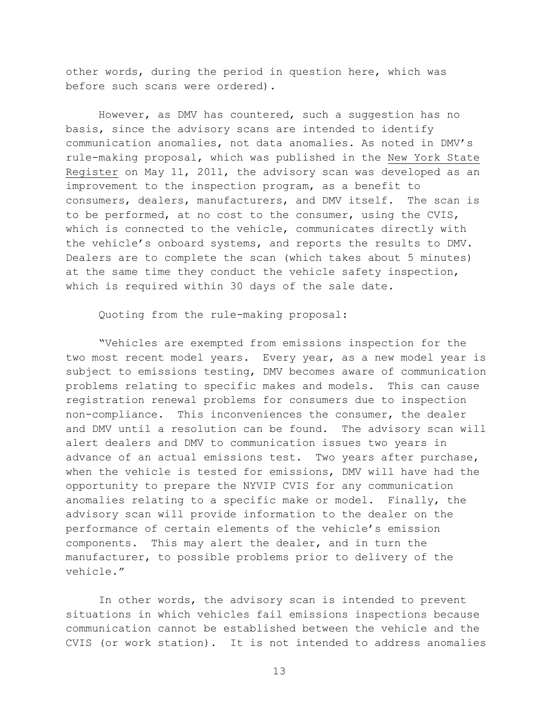other words, during the period in question here, which was before such scans were ordered).

However, as DMV has countered, such a suggestion has no basis, since the advisory scans are intended to identify communication anomalies, not data anomalies. As noted in DMV's rule-making proposal, which was published in the New York State Register on May 11, 2011, the advisory scan was developed as an improvement to the inspection program, as a benefit to consumers, dealers, manufacturers, and DMV itself. The scan is to be performed, at no cost to the consumer, using the CVIS, which is connected to the vehicle, communicates directly with the vehicle's onboard systems, and reports the results to DMV. Dealers are to complete the scan (which takes about 5 minutes) at the same time they conduct the vehicle safety inspection, which is required within 30 days of the sale date.

Quoting from the rule-making proposal:

"Vehicles are exempted from emissions inspection for the two most recent model years. Every year, as a new model year is subject to emissions testing, DMV becomes aware of communication problems relating to specific makes and models. This can cause registration renewal problems for consumers due to inspection non-compliance. This inconveniences the consumer, the dealer and DMV until a resolution can be found. The advisory scan will alert dealers and DMV to communication issues two years in advance of an actual emissions test. Two years after purchase, when the vehicle is tested for emissions, DMV will have had the opportunity to prepare the NYVIP CVIS for any communication anomalies relating to a specific make or model. Finally, the advisory scan will provide information to the dealer on the performance of certain elements of the vehicle's emission components. This may alert the dealer, and in turn the manufacturer, to possible problems prior to delivery of the vehicle."

In other words, the advisory scan is intended to prevent situations in which vehicles fail emissions inspections because communication cannot be established between the vehicle and the CVIS (or work station). It is not intended to address anomalies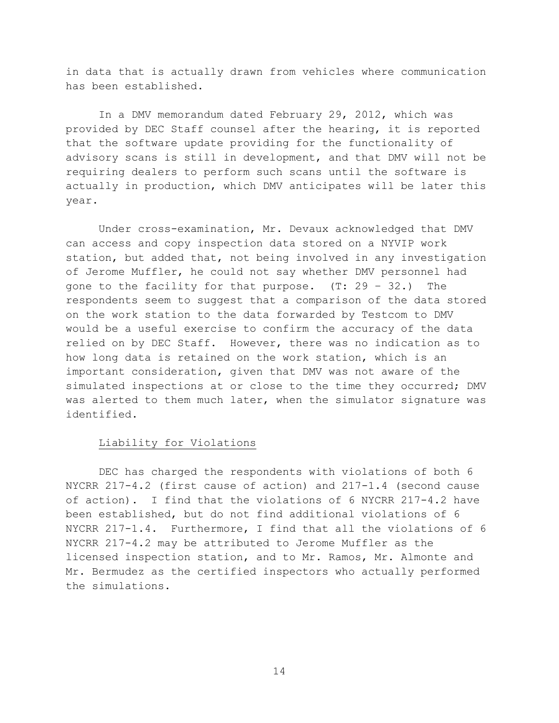in data that is actually drawn from vehicles where communication has been established.

In a DMV memorandum dated February 29, 2012, which was provided by DEC Staff counsel after the hearing, it is reported that the software update providing for the functionality of advisory scans is still in development, and that DMV will not be requiring dealers to perform such scans until the software is actually in production, which DMV anticipates will be later this year.

Under cross-examination, Mr. Devaux acknowledged that DMV can access and copy inspection data stored on a NYVIP work station, but added that, not being involved in any investigation of Jerome Muffler, he could not say whether DMV personnel had gone to the facility for that purpose. (T: 29 – 32.) The respondents seem to suggest that a comparison of the data stored on the work station to the data forwarded by Testcom to DMV would be a useful exercise to confirm the accuracy of the data relied on by DEC Staff. However, there was no indication as to how long data is retained on the work station, which is an important consideration, given that DMV was not aware of the simulated inspections at or close to the time they occurred; DMV was alerted to them much later, when the simulator signature was identified.

## Liability for Violations

DEC has charged the respondents with violations of both 6 NYCRR 217-4.2 (first cause of action) and 217-1.4 (second cause of action). I find that the violations of 6 NYCRR 217-4.2 have been established, but do not find additional violations of 6 NYCRR 217-1.4. Furthermore, I find that all the violations of 6 NYCRR 217-4.2 may be attributed to Jerome Muffler as the licensed inspection station, and to Mr. Ramos, Mr. Almonte and Mr. Bermudez as the certified inspectors who actually performed the simulations.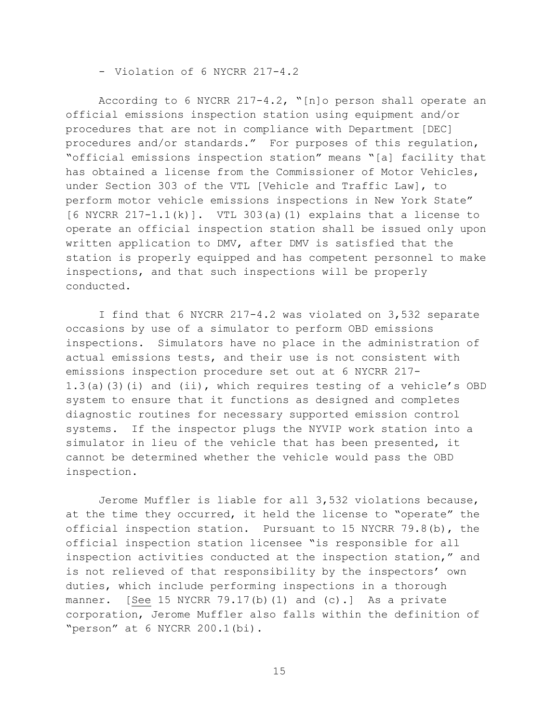- Violation of 6 NYCRR 217-4.2

According to 6 NYCRR 217-4.2, "[n]o person shall operate an official emissions inspection station using equipment and/or procedures that are not in compliance with Department [DEC] procedures and/or standards." For purposes of this regulation, "official emissions inspection station" means "[a] facility that has obtained a license from the Commissioner of Motor Vehicles, under Section 303 of the VTL [Vehicle and Traffic Law], to perform motor vehicle emissions inspections in New York State"  $[6$  NYCRR  $217-1.1(k)$ ]. VTL 303(a)(1) explains that a license to operate an official inspection station shall be issued only upon written application to DMV, after DMV is satisfied that the station is properly equipped and has competent personnel to make inspections, and that such inspections will be properly conducted.

I find that 6 NYCRR 217-4.2 was violated on 3,532 separate occasions by use of a simulator to perform OBD emissions inspections. Simulators have no place in the administration of actual emissions tests, and their use is not consistent with emissions inspection procedure set out at 6 NYCRR 217- 1.3(a)(3)(i) and (ii), which requires testing of a vehicle's OBD system to ensure that it functions as designed and completes diagnostic routines for necessary supported emission control systems. If the inspector plugs the NYVIP work station into a simulator in lieu of the vehicle that has been presented, it cannot be determined whether the vehicle would pass the OBD inspection.

Jerome Muffler is liable for all 3,532 violations because, at the time they occurred, it held the license to "operate" the official inspection station. Pursuant to 15 NYCRR 79.8(b), the official inspection station licensee "is responsible for all inspection activities conducted at the inspection station," and is not relieved of that responsibility by the inspectors' own duties, which include performing inspections in a thorough manner. [See 15 NYCRR 79.17(b)(1) and (c).] As a private corporation, Jerome Muffler also falls within the definition of "person" at 6 NYCRR 200.1(bi).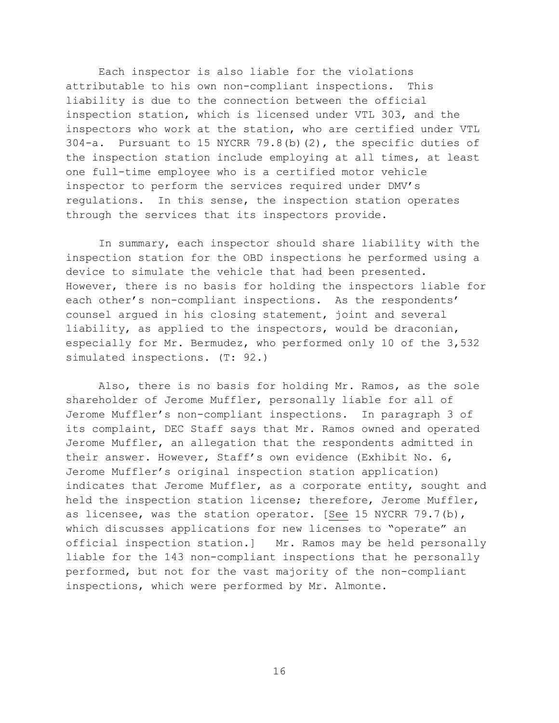Each inspector is also liable for the violations attributable to his own non-compliant inspections. This liability is due to the connection between the official inspection station, which is licensed under VTL 303, and the inspectors who work at the station, who are certified under VTL 304-a. Pursuant to 15 NYCRR 79.8(b)(2), the specific duties of the inspection station include employing at all times, at least one full-time employee who is a certified motor vehicle inspector to perform the services required under DMV's regulations. In this sense, the inspection station operates through the services that its inspectors provide.

In summary, each inspector should share liability with the inspection station for the OBD inspections he performed using a device to simulate the vehicle that had been presented. However, there is no basis for holding the inspectors liable for each other's non-compliant inspections. As the respondents' counsel argued in his closing statement, joint and several liability, as applied to the inspectors, would be draconian, especially for Mr. Bermudez, who performed only 10 of the 3,532 simulated inspections. (T: 92.)

Also, there is no basis for holding Mr. Ramos, as the sole shareholder of Jerome Muffler, personally liable for all of Jerome Muffler's non-compliant inspections. In paragraph 3 of its complaint, DEC Staff says that Mr. Ramos owned and operated Jerome Muffler, an allegation that the respondents admitted in their answer. However, Staff's own evidence (Exhibit No. 6, Jerome Muffler's original inspection station application) indicates that Jerome Muffler, as a corporate entity, sought and held the inspection station license; therefore, Jerome Muffler, as licensee, was the station operator. [See 15 NYCRR 79.7(b), which discusses applications for new licenses to "operate" an official inspection station.] Mr. Ramos may be held personally liable for the 143 non-compliant inspections that he personally performed, but not for the vast majority of the non-compliant inspections, which were performed by Mr. Almonte.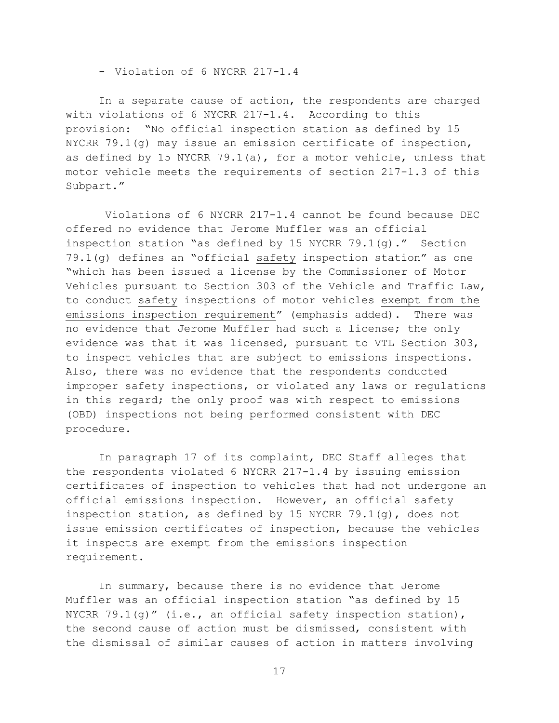- Violation of 6 NYCRR 217-1.4

In a separate cause of action, the respondents are charged with violations of 6 NYCRR 217-1.4. According to this provision: "No official inspection station as defined by 15 NYCRR 79.1(g) may issue an emission certificate of inspection, as defined by 15 NYCRR 79.1(a), for a motor vehicle, unless that motor vehicle meets the requirements of section 217-1.3 of this Subpart."

Violations of 6 NYCRR 217-1.4 cannot be found because DEC offered no evidence that Jerome Muffler was an official inspection station "as defined by 15 NYCRR 79.1(q)." Section 79.1(g) defines an "official safety inspection station" as one "which has been issued a license by the Commissioner of Motor Vehicles pursuant to Section 303 of the Vehicle and Traffic Law, to conduct safety inspections of motor vehicles exempt from the emissions inspection requirement" (emphasis added). There was no evidence that Jerome Muffler had such a license; the only evidence was that it was licensed, pursuant to VTL Section 303, to inspect vehicles that are subject to emissions inspections. Also, there was no evidence that the respondents conducted improper safety inspections, or violated any laws or regulations in this regard; the only proof was with respect to emissions (OBD) inspections not being performed consistent with DEC procedure.

In paragraph 17 of its complaint, DEC Staff alleges that the respondents violated 6 NYCRR 217-1.4 by issuing emission certificates of inspection to vehicles that had not undergone an official emissions inspection. However, an official safety inspection station, as defined by 15 NYCRR 79.1(g), does not issue emission certificates of inspection, because the vehicles it inspects are exempt from the emissions inspection requirement.

In summary, because there is no evidence that Jerome Muffler was an official inspection station "as defined by 15 NYCRR 79.1(g)"  $(i.e., an official safety inspection station),$ the second cause of action must be dismissed, consistent with the dismissal of similar causes of action in matters involving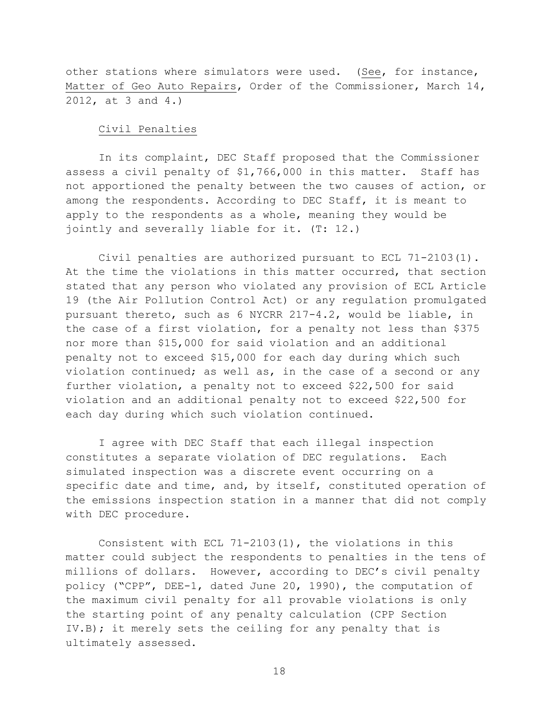other stations where simulators were used. (See, for instance, Matter of Geo Auto Repairs, Order of the Commissioner, March 14, 2012, at 3 and 4.)

### Civil Penalties

In its complaint, DEC Staff proposed that the Commissioner assess a civil penalty of \$1,766,000 in this matter. Staff has not apportioned the penalty between the two causes of action, or among the respondents. According to DEC Staff, it is meant to apply to the respondents as a whole, meaning they would be jointly and severally liable for it. (T: 12.)

Civil penalties are authorized pursuant to ECL 71-2103(1). At the time the violations in this matter occurred, that section stated that any person who violated any provision of ECL Article 19 (the Air Pollution Control Act) or any regulation promulgated pursuant thereto, such as 6 NYCRR 217-4.2, would be liable, in the case of a first violation, for a penalty not less than \$375 nor more than \$15,000 for said violation and an additional penalty not to exceed \$15,000 for each day during which such violation continued; as well as, in the case of a second or any further violation, a penalty not to exceed \$22,500 for said violation and an additional penalty not to exceed \$22,500 for each day during which such violation continued.

I agree with DEC Staff that each illegal inspection constitutes a separate violation of DEC regulations. Each simulated inspection was a discrete event occurring on a specific date and time, and, by itself, constituted operation of the emissions inspection station in a manner that did not comply with DEC procedure.

Consistent with ECL 71-2103(1), the violations in this matter could subject the respondents to penalties in the tens of millions of dollars. However, according to DEC's civil penalty policy ("CPP", DEE-1, dated June 20, 1990), the computation of the maximum civil penalty for all provable violations is only the starting point of any penalty calculation (CPP Section IV.B); it merely sets the ceiling for any penalty that is ultimately assessed.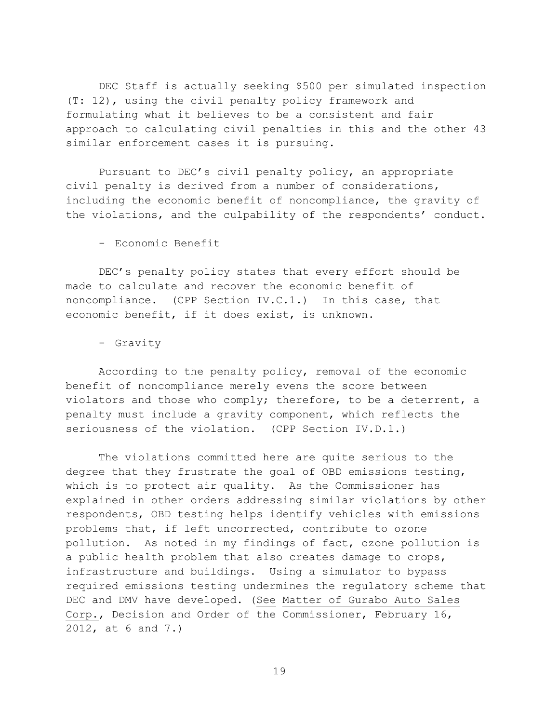DEC Staff is actually seeking \$500 per simulated inspection (T: 12), using the civil penalty policy framework and formulating what it believes to be a consistent and fair approach to calculating civil penalties in this and the other 43 similar enforcement cases it is pursuing.

Pursuant to DEC's civil penalty policy, an appropriate civil penalty is derived from a number of considerations, including the economic benefit of noncompliance, the gravity of the violations, and the culpability of the respondents' conduct.

- Economic Benefit

DEC's penalty policy states that every effort should be made to calculate and recover the economic benefit of noncompliance. (CPP Section IV.C.1.) In this case, that economic benefit, if it does exist, is unknown.

- Gravity

According to the penalty policy, removal of the economic benefit of noncompliance merely evens the score between violators and those who comply; therefore, to be a deterrent, a penalty must include a gravity component, which reflects the seriousness of the violation. (CPP Section IV.D.1.)

The violations committed here are quite serious to the degree that they frustrate the goal of OBD emissions testing, which is to protect air quality. As the Commissioner has explained in other orders addressing similar violations by other respondents, OBD testing helps identify vehicles with emissions problems that, if left uncorrected, contribute to ozone pollution. As noted in my findings of fact, ozone pollution is a public health problem that also creates damage to crops, infrastructure and buildings. Using a simulator to bypass required emissions testing undermines the regulatory scheme that DEC and DMV have developed. (See Matter of Gurabo Auto Sales Corp., Decision and Order of the Commissioner, February 16, 2012, at 6 and 7.)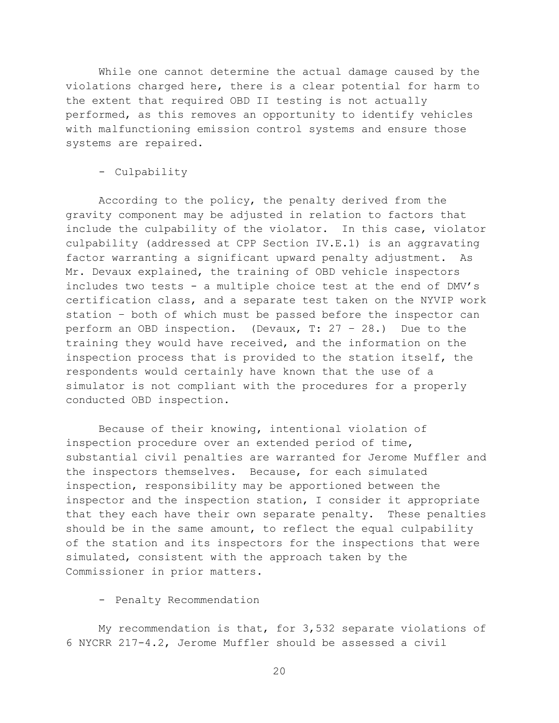While one cannot determine the actual damage caused by the violations charged here, there is a clear potential for harm to the extent that required OBD II testing is not actually performed, as this removes an opportunity to identify vehicles with malfunctioning emission control systems and ensure those systems are repaired.

## - Culpability

According to the policy, the penalty derived from the gravity component may be adjusted in relation to factors that include the culpability of the violator. In this case, violator culpability (addressed at CPP Section IV.E.1) is an aggravating factor warranting a significant upward penalty adjustment. As Mr. Devaux explained, the training of OBD vehicle inspectors includes two tests - a multiple choice test at the end of DMV's certification class, and a separate test taken on the NYVIP work station – both of which must be passed before the inspector can perform an OBD inspection. (Devaux, T: 27 – 28.) Due to the training they would have received, and the information on the inspection process that is provided to the station itself, the respondents would certainly have known that the use of a simulator is not compliant with the procedures for a properly conducted OBD inspection.

Because of their knowing, intentional violation of inspection procedure over an extended period of time, substantial civil penalties are warranted for Jerome Muffler and the inspectors themselves. Because, for each simulated inspection, responsibility may be apportioned between the inspector and the inspection station, I consider it appropriate that they each have their own separate penalty. These penalties should be in the same amount, to reflect the equal culpability of the station and its inspectors for the inspections that were simulated, consistent with the approach taken by the Commissioner in prior matters.

## - Penalty Recommendation

My recommendation is that, for 3,532 separate violations of 6 NYCRR 217-4.2, Jerome Muffler should be assessed a civil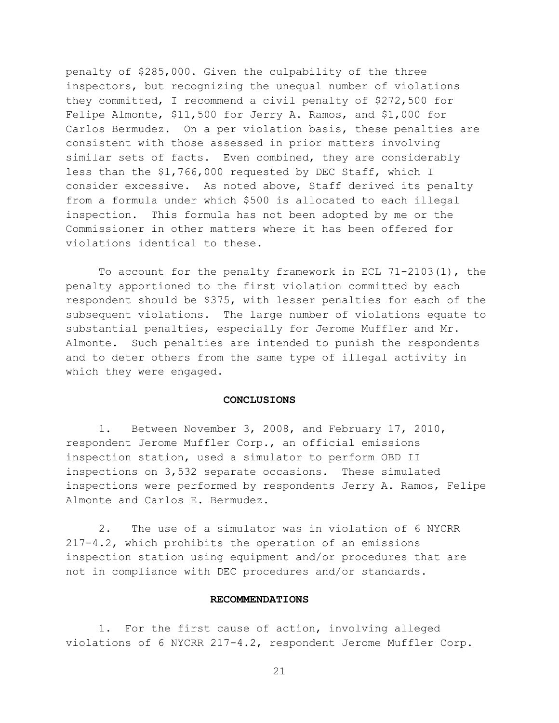penalty of \$285,000. Given the culpability of the three inspectors, but recognizing the unequal number of violations they committed, I recommend a civil penalty of \$272,500 for Felipe Almonte, \$11,500 for Jerry A. Ramos, and \$1,000 for Carlos Bermudez. On a per violation basis, these penalties are consistent with those assessed in prior matters involving similar sets of facts. Even combined, they are considerably less than the \$1,766,000 requested by DEC Staff, which I consider excessive. As noted above, Staff derived its penalty from a formula under which \$500 is allocated to each illegal inspection. This formula has not been adopted by me or the Commissioner in other matters where it has been offered for violations identical to these.

To account for the penalty framework in ECL 71-2103(1), the penalty apportioned to the first violation committed by each respondent should be \$375, with lesser penalties for each of the subsequent violations. The large number of violations equate to substantial penalties, especially for Jerome Muffler and Mr. Almonte. Such penalties are intended to punish the respondents and to deter others from the same type of illegal activity in which they were engaged.

#### **CONCLUSIONS**

1. Between November 3, 2008, and February 17, 2010, respondent Jerome Muffler Corp., an official emissions inspection station, used a simulator to perform OBD II inspections on 3,532 separate occasions. These simulated inspections were performed by respondents Jerry A. Ramos, Felipe Almonte and Carlos E. Bermudez.

2. The use of a simulator was in violation of 6 NYCRR 217-4.2, which prohibits the operation of an emissions inspection station using equipment and/or procedures that are not in compliance with DEC procedures and/or standards.

#### **RECOMMENDATIONS**

1. For the first cause of action, involving alleged violations of 6 NYCRR 217-4.2, respondent Jerome Muffler Corp.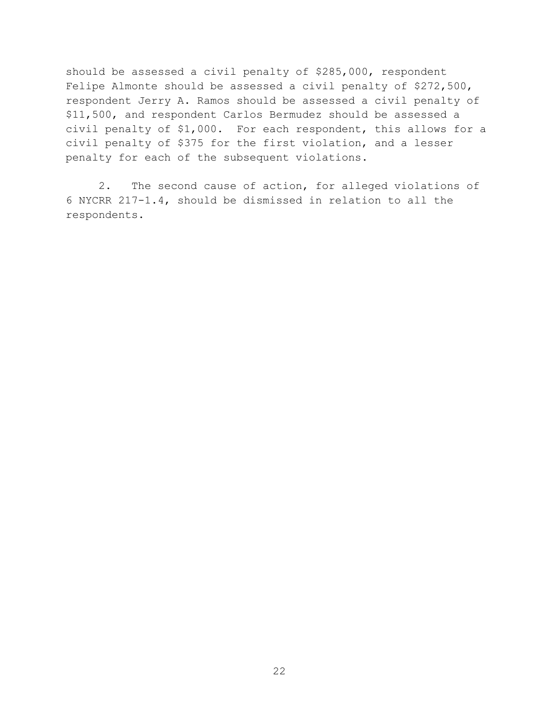should be assessed a civil penalty of \$285,000, respondent Felipe Almonte should be assessed a civil penalty of \$272,500, respondent Jerry A. Ramos should be assessed a civil penalty of \$11,500, and respondent Carlos Bermudez should be assessed a civil penalty of \$1,000. For each respondent, this allows for a civil penalty of \$375 for the first violation, and a lesser penalty for each of the subsequent violations.

2. The second cause of action, for alleged violations of 6 NYCRR 217-1.4, should be dismissed in relation to all the respondents.